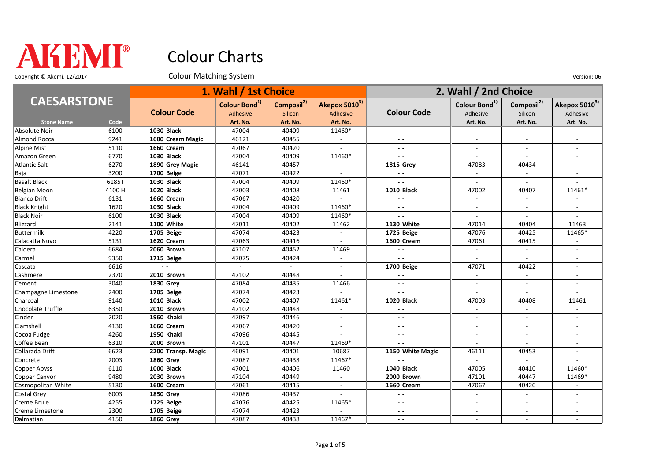

Copyright © Akemi, 12/2017 Colour Matching System Colour Matching System Company Consumers Colour Matching System

|                     |       |                    | 1. Wahl / 1st Choice      |                        |                           | 2. Wahl / 2nd Choice     |                           |                        |                           |
|---------------------|-------|--------------------|---------------------------|------------------------|---------------------------|--------------------------|---------------------------|------------------------|---------------------------|
| <b>CAESARSTONE</b>  |       |                    | Colour Bond <sup>1)</sup> | Composil <sup>2)</sup> | Akepox 5010 <sup>3)</sup> |                          | Colour Bond <sup>1)</sup> | Composil <sup>2)</sup> | Akepox 5010 <sup>3)</sup> |
|                     |       | <b>Colour Code</b> | Adhesive                  | Silicon                | Adhesive                  | <b>Colour Code</b>       | Adhesive                  | Silicon                | Adhesive                  |
| <b>Stone Name</b>   | Code  |                    | Art. No.                  | Art. No.               | Art. No.                  |                          | Art. No.                  | Art. No.               | Art. No.                  |
| Absolute Noir       | 6100  | <b>1030 Black</b>  | 47004                     | 40409                  | 11460*                    | $ -$                     |                           | $\sim$                 |                           |
| Almond Rocca        | 9241  | 1680 Cream Magic   | 46121                     | 40455                  |                           | $\sim$ $\sim$            |                           |                        |                           |
| Alpine Mist         | 5110  | 1660 Cream         | 47067                     | 40420                  |                           | $ -$                     |                           |                        |                           |
| Amazon Green        | 6770  | <b>1030 Black</b>  | 47004                     | 40409                  | 11460*                    | $\overline{a}$           | $\overline{a}$            | $\sim$                 | $\overline{a}$            |
| Atlantic Salt       | 6270  | 1890 Grey Magic    | 46141                     | 40457                  |                           | <b>1815 Grev</b>         | 47083                     | 40434                  | $\overline{a}$            |
| Baja                | 3200  | 1700 Beige         | 47071                     | 40422                  |                           | $\sim$ $\sim$            | $\overline{\phantom{a}}$  | $\sim$                 | $\overline{a}$            |
| <b>Basalt Black</b> | 6185T | <b>1030 Black</b>  | 47004                     | 40409                  | 11460*                    | $ -$                     |                           |                        |                           |
| Belgian Moon        | 4100H | <b>1020 Black</b>  | 47003                     | 40408                  | 11461                     | <b>1010 Black</b>        | 47002                     | 40407                  | 11461*                    |
| Bianco Drift        | 6131  | 1660 Cream         | 47067                     | 40420                  |                           | $ -$                     |                           |                        |                           |
| <b>Black Knight</b> | 1620  | <b>1030 Black</b>  | 47004                     | 40409                  | 11460*                    | $ -$                     |                           |                        |                           |
| <b>Black Noir</b>   | 6100  | <b>1030 Black</b>  | 47004                     | 40409                  | 11460*                    | $\overline{a}$           |                           |                        |                           |
| Blizzard            | 2141  | 1100 White         | 47011                     | 40402                  | 11462                     | <b>1130 White</b>        | 47014                     | 40404                  | 11463                     |
| Buttermilk          | 4220  | 1705 Beige         | 47074                     | 40423                  | $\sim$                    | 1725 Beige               | 47076                     | 40425                  | 11465*                    |
| Calacatta Nuvo      | 5131  | 1620 Cream         | 47063                     | 40416                  |                           | 1600 Cream               | 47061                     | 40415                  |                           |
| Caldera             | 6684  | 2060 Brown         | 47107                     | 40452                  | 11469                     | $\sim$ $\sim$            |                           | $\sim$                 |                           |
| Carmel              | 9350  | 1715 Beige         | 47075                     | 40424                  | $\overline{a}$            | $ -$                     | $\sim$                    | $\overline{a}$         | $\sim$                    |
| Cascata             | 6616  | $\sim$ $\sim$      | $\sim$                    | $\sim$                 |                           | 1700 Beige               | 47071                     | 40422                  |                           |
| Cashmere            | 2370  | 2010 Brown         | 47102                     | 40448                  |                           | $ -$                     |                           |                        |                           |
| Cement              | 3040  | <b>1830 Grey</b>   | 47084                     | 40435                  | 11466                     | $ -$                     |                           | $\overline{a}$         |                           |
| Champagne Limestone | 2400  | 1705 Beige         | 47074                     | 40423                  |                           | $-$                      | $\sim$                    | $\sim$                 | $\overline{a}$            |
| Charcoal            | 9140  | <b>1010 Black</b>  | 47002                     | 40407                  | 11461*                    | 1020 Black               | 47003                     | 40408                  | 11461                     |
| Chocolate Truffle   | 6350  | 2010 Brown         | 47102                     | 40448                  |                           | ٠.                       | $\sim$                    |                        |                           |
| Cinder              | 2020  | 1960 Khaki         | 47097                     | 40446                  |                           | $\sim$ $\sim$            |                           |                        |                           |
| Clamshell           | 4130  | 1660 Cream         | 47067                     | 40420                  | $\overline{\phantom{a}}$  | $ -$                     | $\sim$                    | $\sim$                 | $\sim$                    |
| Cocoa Fudge         | 4260  | 1950 Khaki         | 47096                     | 40445                  |                           | $ -$                     |                           |                        | $\overline{a}$            |
| Coffee Bean         | 6310  | 2000 Brown         | 47101                     | 40447                  | 11469*                    | $\overline{a}$           |                           |                        |                           |
| Collarada Drift     | 6623  | 2200 Transp. Magic | 46091                     | 40401                  | 10687                     | 1150 White Magic         | 46111                     | 40453                  | $\overline{a}$            |
| Concrete            | 2003  | <b>1860 Grey</b>   | 47087                     | 40438                  | 11467*                    | $\overline{\phantom{a}}$ | $\overline{\phantom{a}}$  | $\overline{a}$         | $\overline{a}$            |
| Copper Abyss        | 6110  | 1000 Black         | 47001                     | 40406                  | 11460                     | 1040 Black               | 47005                     | 40410                  | 11460*                    |
| Copper Canyon       | 9480  | 2030 Brown         | 47104                     | 40449                  |                           | 2000 Brown               | 47101                     | 40447                  | 11469*                    |
| Cosmopolitan White  | 5130  | 1600 Cream         | 47061                     | 40415                  |                           | 1660 Cream               | 47067                     | 40420                  |                           |
| Costal Grey         | 6003  | <b>1850 Grey</b>   | 47086                     | 40437                  |                           | $\sim$ $\sim$            | $\sim$                    | $\sim$                 | $\overline{a}$            |
| Creme Brule         | 4255  | 1725 Beige         | 47076                     | 40425                  | 11465*                    | $ -$                     |                           |                        |                           |
| Creme Limestone     | 2300  | 1705 Beige         | 47074                     | 40423                  |                           | - -                      |                           |                        |                           |
| Dalmatian           | 4150  | <b>1860 Grey</b>   | 47087                     | 40438                  | 11467*                    | $ -$                     | $\overline{a}$            | $\sim$                 | $\overline{a}$            |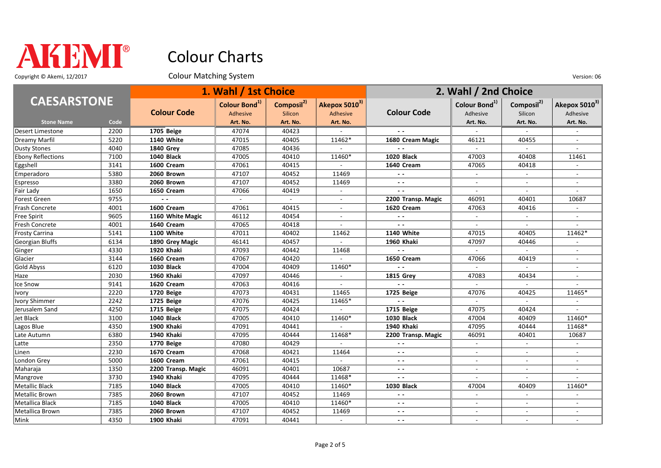

Copyright © Akemi, 12/2017 Colour Matching System Colour Matching System Company Consumers Colour Matching System

|                          |      |                          | 1. Wahl / 1st Choice      |                        |               |                    | 2. Wahl / 2nd Choice      |                        |                           |  |
|--------------------------|------|--------------------------|---------------------------|------------------------|---------------|--------------------|---------------------------|------------------------|---------------------------|--|
| <b>CAESARSTONE</b>       |      |                          | Colour Bond <sup>1)</sup> | Composil <sup>2)</sup> | Akepox 50103) |                    | Colour Bond <sup>1)</sup> | Composil <sup>2)</sup> | Akepox 5010 <sup>3)</sup> |  |
|                          |      | <b>Colour Code</b>       | Adhesive                  | Silicon                | Adhesive      | <b>Colour Code</b> | Adhesive                  | Silicon                | Adhesive                  |  |
| <b>Stone Name</b>        | Code |                          | Art. No.                  | Art. No.               | Art. No.      |                    | Art. No.                  | Art. No.               | Art. No.                  |  |
| Desert Limestone         | 2200 | 1705 Beige               | 47074                     | 40423                  |               |                    |                           |                        |                           |  |
| Dreamy Marfil            | 5220 | 1140 White               | 47015                     | 40405                  | 11462*        | 1680 Cream Magic   | 46121                     | 40455                  |                           |  |
| <b>Dusty Stones</b>      | 4040 | <b>1840 Grev</b>         | 47085                     | 40436                  |               | $\sim$ $\sim$      | $\sim$                    | $\sim$                 |                           |  |
| <b>Ebony Reflections</b> | 7100 | <b>1040 Black</b>        | 47005                     | 40410                  | 11460*        | <b>1020 Black</b>  | 47003                     | 40408                  | 11461                     |  |
| Eggshell                 | 3141 | 1600 Cream               | 47061                     | 40415                  |               | 1640 Cream         | 47065                     | 40418                  | $\overline{\phantom{a}}$  |  |
| Emperadoro               | 5380 | 2060 Brown               | 47107                     | 40452                  | 11469         | $\sim$ $\sim$      | $\sim$                    | $\sim$                 | $\overline{a}$            |  |
| Espresso                 | 3380 | 2060 Brown               | 47107                     | 40452                  | 11469         | $\sim$ $\sim$      | $\sim$                    |                        |                           |  |
| Fair Lady                | 1650 | 1650 Cream               | 47066                     | 40419                  |               | $\sim$ $\sim$      |                           |                        |                           |  |
| Forest Green             | 9755 | $\overline{\phantom{a}}$ | $\sim$                    | $\mathbf{r}$           | $\sim$        | 2200 Transp. Magic | 46091                     | 40401                  | 10687                     |  |
| Frash Concrete           | 4001 | 1600 Cream               | 47061                     | 40415                  |               | 1620 Cream         | 47063                     | 40416                  |                           |  |
| Free Spirit              | 9605 | 1160 White Magic         | 46112                     | 40454                  |               | $\sim$ $\sim$      |                           |                        |                           |  |
| Fresh Concrete           | 4001 | 1640 Cream               | 47065                     | 40418                  |               | $\sim$ $\sim$      |                           | $\sim$                 |                           |  |
| Frosty Carrina           | 5141 | 1100 White               | 47011                     | 40402                  | 11462         | 1140 White         | 47015                     | 40405                  | 11462*                    |  |
| Georgian Bluffs          | 6134 | 1890 Grey Magic          | 46141                     | 40457                  |               | 1960 Khaki         | 47097                     | 40446                  |                           |  |
| Ginger                   | 4330 | 1920 Khaki               | 47093                     | 40442                  | 11468         |                    |                           |                        |                           |  |
| Glacier                  | 3144 | 1660 Cream               | 47067                     | 40420                  |               | 1650 Cream         | 47066                     | 40419                  | $\overline{a}$            |  |
| Gold Abyss               | 6120 | <b>1030 Black</b>        | 47004                     | 40409                  | 11460*        | $\sim$ $\sim$      | $\sim$                    | $\sim$                 | $\blacksquare$            |  |
| Haze                     | 2030 | 1960 Khaki               | 47097                     | 40446                  |               | <b>1815 Grev</b>   | 47083                     | 40434                  |                           |  |
| Ice Snow                 | 9141 | 1620 Cream               | 47063                     | 40416                  |               | $\sim$ $\sim$      |                           |                        |                           |  |
| <b>Ivory</b>             | 2220 | 1720 Beige               | 47073                     | 40431                  | 11465         | 1725 Beige         | 47076                     | 40425                  | 11465*                    |  |
| Ivory Shimmer            | 2242 | 1725 Beige               | 47076                     | 40425                  | 11465*        | $\sim$ $\sim$      | $\sim$                    | $\sim$                 |                           |  |
| Jerusalem Sand           | 4250 | 1715 Beige               | 47075                     | 40424                  |               | 1715 Beige         | 47075                     | 40424                  |                           |  |
| Jet Black                | 3100 | 1040 Black               | 47005                     | 40410                  | 11460*        | 1030 Black         | 47004                     | 40409                  | 11460*                    |  |
| Lagos Blue               | 4350 | 1900 Khaki               | 47091                     | 40441                  |               | 1940 Khaki         | 47095                     | 40444                  | 11468*                    |  |
| Late Autumn              | 6380 | 1940 Khaki               | 47095                     | 40444                  | 11468*        | 2200 Transp. Magic | 46091                     | 40401                  | 10687                     |  |
| Latte                    | 2350 | 1770 Beige               | 47080                     | 40429                  |               | $ -$               |                           |                        |                           |  |
| Linen                    | 2230 | 1670 Cream               | 47068                     | 40421                  | 11464         | $\sim$ $\sim$      |                           |                        |                           |  |
| London Grey              | 5000 | 1600 Cream               | 47061                     | 40415                  |               | $ -$               | $\blacksquare$            | $\sim$                 | $\overline{\phantom{a}}$  |  |
| Maharaja                 | 1350 | 2200 Transp. Magic       | 46091                     | 40401                  | 10687         | $\sim$ $\sim$      | $\overline{\phantom{a}}$  |                        | $\overline{\phantom{a}}$  |  |
| Mangrove                 | 3730 | 1940 Khaki               | 47095                     | 40444                  | 11468*        | $ -$               |                           |                        |                           |  |
| Metallic Black           | 7185 | <b>1040 Black</b>        | 47005                     | 40410                  | 11460*        | <b>1030 Black</b>  | 47004                     | 40409                  | 11460*                    |  |
| Metallic Brown           | 7385 | 2060 Brown               | 47107                     | 40452                  | 11469         | $ -$               | $\overline{\phantom{a}}$  | $\sim$                 | $\overline{\phantom{a}}$  |  |
| Metallica Black          | 7185 | <b>1040 Black</b>        | 47005                     | 40410                  | 11460*        | $ -$               |                           |                        |                           |  |
| Metallica Brown          | 7385 | 2060 Brown               | 47107                     | 40452                  | 11469         | $\sim$ $\sim$      |                           |                        |                           |  |
| Mink                     | 4350 | 1900 Khaki               | 47091                     | 40441                  | $\sim$        | $ -$               | $\overline{a}$            | $\sim$                 | $\overline{a}$            |  |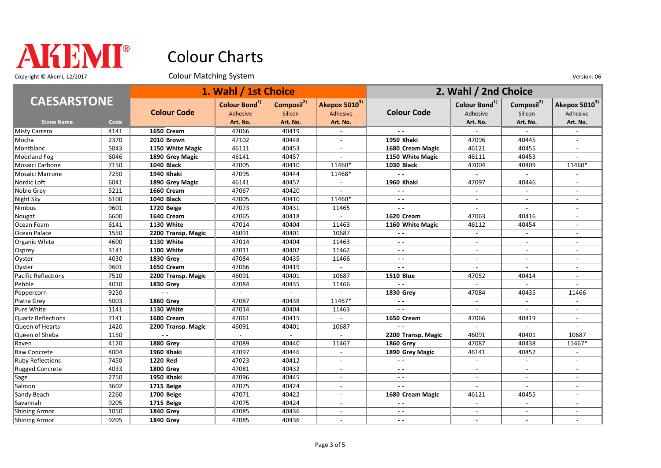

Copyright © Akemi, 12/2017 Colour Matching System Colour Matching System Version: 06

|                         |      |                    | 1. Wahl / 1st Choice                  |                                   |                          |                          | 2. Wahl / 2nd Choice      |                           |                           |
|-------------------------|------|--------------------|---------------------------------------|-----------------------------------|--------------------------|--------------------------|---------------------------|---------------------------|---------------------------|
| <b>CAESARSTONE</b>      |      | <b>Colour Code</b> | Colour Bond <sup>1)</sup><br>Adhesive | Composil <sup>2)</sup><br>Silicon | Akepox 50103)            | <b>Colour Code</b>       | Colour Bond <sup>1)</sup> | Composil <sup>2)</sup>    | Akepox 5010 <sup>3)</sup> |
|                         |      |                    |                                       |                                   | Adhesive                 |                          | Adhesive                  | Silicon                   | Adhesive                  |
| <b>Stone Name</b>       | Code |                    | Art. No.                              | Art. No.                          | Art. No.                 |                          | Art. No.                  | Art. No.                  | Art. No.                  |
| Misty Carrera           | 4141 | <b>1650 Cream</b>  | 47066                                 | 40419                             |                          |                          |                           | $\sim$                    |                           |
| Mocha                   | 2370 | 2010 Brown         | 47102                                 | 40448                             |                          | 1950 Khaki               | 47096                     | 40445                     |                           |
| Montblanc               | 5043 | 1150 White Magic   | 46111                                 | 40453                             |                          | 1680 Cream Magic         | 46121                     | 40455                     |                           |
| Moorland Fog            | 6046 | 1890 Grey Magic    | 46141                                 | 40457                             |                          | 1150 White Magic         | 46111                     | 40453                     |                           |
| Mosaici Carbone         | 7150 | <b>1040 Black</b>  | 47005                                 | 40410                             | 11460*                   | <b>1030 Black</b>        | 47004                     | 40409                     | 11460*                    |
| Mosaici Marrone         | 7250 | 1940 Khaki         | 47095                                 | 40444                             | 11468*                   | $\sim$ $\sim$            | $\sim$                    | $\mathbb{Z}^{\mathbb{Z}}$ |                           |
| Nordic Loft             | 6041 | 1890 Grey Magic    | 46141                                 | 40457                             |                          | 1960 Khaki               | 47097                     | 40446                     |                           |
| Noble Grey              | 5211 | <b>1660 Cream</b>  | 47067                                 | 40420                             |                          | $\sim$ $\sim$            |                           |                           |                           |
| Night Sky               | 6100 | 1040 Black         | 47005                                 | 40410                             | 11460*                   | $ -$                     | $\blacksquare$            | $\sim$                    | $\blacksquare$            |
| Nimbus                  | 9601 | 1720 Beige         | 47073                                 | 40431                             | 11465                    | $\sim$ $\sim$            |                           |                           |                           |
| Nougat                  | 6600 | 1640 Cream         | 47065                                 | 40418                             |                          | 1620 Cream               | 47063                     | 40416                     |                           |
| Ocean Foam              | 6141 | <b>1130 White</b>  | 47014                                 | 40404                             | 11463                    | 1160 White Magic         | 46112                     | 40454                     |                           |
| Ocean Palace            | 1550 | 2200 Transp. Magic | 46091                                 | 40401                             | 10687                    | $ -$                     | $\sim$                    | $\sim$                    | $\overline{\phantom{a}}$  |
| Organic White           | 4600 | <b>1130 White</b>  | 47014                                 | 40404                             | 11463                    | $\sim$ $\sim$            | $\sim$                    | $\sim$                    | $\overline{\phantom{a}}$  |
| Osprey                  | 3141 | 1100 White         | 47011                                 | 40402                             | 11462                    | $\sim$ $\sim$            | $\sim$                    | $\sim$                    | $\overline{\phantom{a}}$  |
| Oyster                  | 4030 | <b>1830 Grey</b>   | 47084                                 | 40435                             | 11466                    | $\sim$ $\sim$            |                           |                           |                           |
| Oyster                  | 9601 | 1650 Cream         | 47066                                 | 40419                             | $\sim$                   | $ -$                     | $\sim$                    | $\sim$                    | $\blacksquare$            |
| Pacific Reflections     | 7510 | 2200 Transp. Magic | 46091                                 | 40401                             | 10687                    | <b>1510 Blue</b>         | 47052                     | 40414                     |                           |
| Pebble                  | 4030 | <b>1830 Grey</b>   | 47084                                 | 40435                             | 11466                    |                          |                           |                           |                           |
| Peppercorn              | 9250 | $\sim$ $\sim$      | $\sim$                                | $\overline{a}$                    |                          | <b>1830 Grev</b>         | 47084                     | 40435                     | 11466                     |
| Piatra Grey             | 5003 | <b>1860 Grey</b>   | 47087                                 | 40438                             | 11467*                   | $\sim$ $\sim$            | $\sim$                    | $\sim$                    | $\sim$                    |
| Pure White              | 1141 | 1130 White         | 47014                                 | 40404                             | 11463                    | $ -$                     | $\sim$                    | $\sim$                    | $\overline{\phantom{a}}$  |
| Quartz Reflections      | 7141 | 1600 Cream         | 47061                                 | 40415                             |                          | 1650 Cream               | 47066                     | 40419                     |                           |
| Queen of Hearts         | 1420 | 2200 Transp. Magic | 46091                                 | 40401                             | 10687                    | $\sim$ $\sim$            | ÷.                        | $\sim$                    |                           |
| Queen of Sheba          | 1150 | $\sim$ $\sim$      |                                       |                                   |                          | 2200 Transp. Magic       | 46091                     | 40401                     | 10687                     |
| Raven                   | 4120 | <b>1880 Grey</b>   | 47089                                 | 40440                             | 11467                    | <b>1860 Grey</b>         | 47087                     | 40438                     | 11467*                    |
| Raw Concrete            | 4004 | 1960 Khaki         | 47097                                 | 40446                             |                          | 1890 Grey Magic          | 46141                     | 40457                     |                           |
| <b>Ruby Reflections</b> | 7450 | 1220 Red           | 47023                                 | 40412                             | $\overline{\phantom{a}}$ | $\sim$ $\sim$            | $\blacksquare$            | $\mathbb{Z}^{\mathbb{Z}}$ | $\overline{a}$            |
| Rugged Concrete         | 4033 | <b>1800 Grev</b>   | 47081                                 | 40432                             | $\overline{\phantom{a}}$ | $\sim$ $\sim$            | $\sim$                    | $\sim$                    | $\overline{\phantom{a}}$  |
| Sage                    | 2750 | 1950 Khaki         | 47096                                 | 40445                             |                          | $\sim$ $\sim$            | $\sim$                    | $\sim$                    | $\overline{\phantom{a}}$  |
| Salmon                  | 3602 | 1715 Beige         | 47075                                 | 40424                             |                          | $\overline{\phantom{a}}$ |                           |                           |                           |
| Sandy Beach             | 2260 | 1700 Beige         | 47071                                 | 40422                             | $\overline{a}$           | 1680 Cream Magic         | 46121                     | 40455                     | $\overline{\phantom{a}}$  |
| Savannah                | 9205 | 1715 Beige         | 47075                                 | 40424                             |                          | $\sim$ $\sim$            | $\overline{\phantom{a}}$  | $\sim$                    | $\blacksquare$            |
| Shining Armor           | 1050 | <b>1840 Grey</b>   | 47085                                 | 40436                             |                          | $ -$                     |                           |                           |                           |
| Shining Armor           | 9205 | <b>1840 Grey</b>   | 47085                                 | 40436                             |                          | $\sim$ $\sim$            |                           |                           | $\overline{a}$            |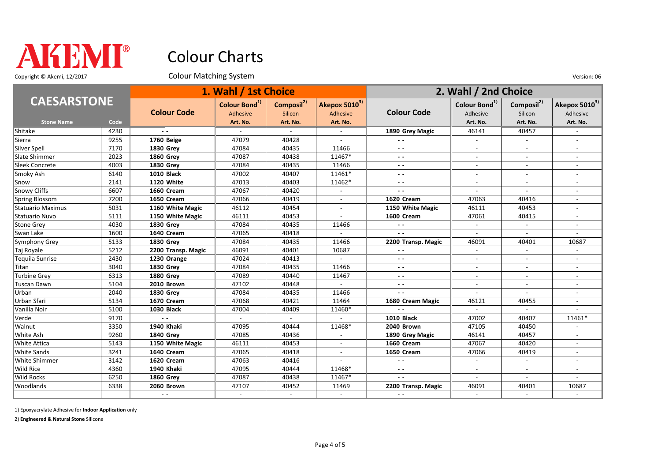

Copyright © Akemi, 12/2017 Colour Matching System Colour Matching Constant Only and Colour Matching System Version: 06

|                     |      |                    | 1. Wahl / 1st Choice                  |                                   |                                       |                    | 2. Wahl / 2nd Choice                  |                                   |                                       |
|---------------------|------|--------------------|---------------------------------------|-----------------------------------|---------------------------------------|--------------------|---------------------------------------|-----------------------------------|---------------------------------------|
| <b>CAESARSTONE</b>  |      | <b>Colour Code</b> | Colour Bond <sup>1)</sup><br>Adhesive | Composil <sup>2)</sup><br>Silicon | Akepox 5010 <sup>3)</sup><br>Adhesive | <b>Colour Code</b> | Colour Bond <sup>1)</sup><br>Adhesive | Composil <sup>2)</sup><br>Silicon | Akepox 5010 <sup>3)</sup><br>Adhesive |
| <b>Stone Name</b>   | Code |                    | Art. No.                              | Art. No.                          | Art. No.                              |                    | Art. No.                              | Art. No.                          | Art. No.                              |
| Shitake             | 4230 | $ -$               |                                       |                                   |                                       | 1890 Grey Magic    | 46141                                 | 40457                             |                                       |
| Sierra              | 9255 | 1760 Beige         | 47079                                 | 40428                             |                                       | $\sim$ $\sim$      |                                       |                                   |                                       |
| Silver Spell        | 7170 | <b>1830 Grev</b>   | 47084                                 | 40435                             | 11466                                 | $ -$               | $\overline{\phantom{a}}$              |                                   | $\overline{\phantom{a}}$              |
| Slate Shimmer       | 2023 | <b>1860 Grey</b>   | 47087                                 | 40438                             | 11467*                                | $ -$               |                                       |                                   | $\overline{a}$                        |
| Sleek Concrete      | 4003 | <b>1830 Grey</b>   | 47084                                 | 40435                             | 11466                                 | $ -$               |                                       |                                   |                                       |
| Smoky Ash           | 6140 | <b>1010 Black</b>  | 47002                                 | 40407                             | 11461*                                | $ -$               |                                       |                                   |                                       |
| Snow                | 2141 | 1120 White         | 47013                                 | 40403                             | 11462*                                | $ -$               |                                       |                                   |                                       |
| Snowy Cliffs        | 6607 | 1660 Cream         | 47067                                 | 40420                             |                                       | $ -$               |                                       |                                   |                                       |
| Spring Blossom      | 7200 | 1650 Cream         | 47066                                 | 40419                             |                                       | 1620 Cream         | 47063                                 | 40416                             |                                       |
| Statuario Maximus   | 5031 | 1160 White Magic   | 46112                                 | 40454                             |                                       | 1150 White Magic   | 46111                                 | 40453                             |                                       |
| Statuario Nuvo      | 5111 | 1150 White Magic   | 46111                                 | 40453                             |                                       | 1600 Cream         | 47061                                 | 40415                             |                                       |
| Stone Grey          | 4030 | <b>1830 Grey</b>   | 47084                                 | 40435                             | 11466                                 | $\sim$ $\sim$      | $\sim$                                | $\sim$                            |                                       |
| Swan Lake           | 1600 | 1640 Cream         | 47065                                 | 40418                             |                                       | $ -$               | $\sim$                                | $\sim$                            |                                       |
| Symphony Grey       | 5133 | <b>1830 Grev</b>   | 47084                                 | 40435                             | 11466                                 | 2200 Transp. Magic | 46091                                 | 40401                             | 10687                                 |
| Taj Royale          | 5212 | 2200 Transp. Magic | 46091                                 | 40401                             | 10687                                 | $\sim$ $\sim$      | $\sim$                                | $\sim$                            |                                       |
| Tequila Sunrise     | 2430 | 1230 Orange        | 47024                                 | 40413                             |                                       | $ -$               | $\overline{\phantom{a}}$              | $\sim$                            | $\overline{\phantom{a}}$              |
| Titan               | 3040 | <b>1830 Grev</b>   | 47084                                 | 40435                             | 11466                                 | $ -$               | $\overline{\phantom{a}}$              | $\sim$                            | $\blacksquare$                        |
| Turbine Grey        | 6313 | <b>1880 Grev</b>   | 47089                                 | 40440                             | 11467                                 | $ -$               | $\overline{\phantom{a}}$              | $\sim$                            | $\blacksquare$                        |
| Tuscan Dawn         | 5104 | 2010 Brown         | 47102                                 | 40448                             |                                       | $\sim$ $\sim$      | $\sim$                                | $\sim$                            | $\blacksquare$                        |
| Urban               | 2040 | <b>1830 Grey</b>   | 47084                                 | 40435                             | 11466                                 | $\sim$ $\sim$      | $\sim$                                | $\sim$                            | $\overline{\phantom{a}}$              |
| Urban Sfari         | 5134 | 1670 Cream         | 47068                                 | 40421                             | 11464                                 | 1680 Cream Magic   | 46121                                 | 40455                             | $\sim$                                |
| Vanilla Noir        | 5100 | <b>1030 Black</b>  | 47004                                 | 40409                             | 11460*                                | $\sim$ $\sim$      | $\overline{\phantom{a}}$              | $\overline{a}$                    |                                       |
| Verde               | 9170 | $ -$               |                                       | $\sim$                            |                                       | <b>1010 Black</b>  | 47002                                 | 40407                             | 11461*                                |
| Walnut              | 3350 | 1940 Khaki         | 47095                                 | 40444                             | 11468*                                | 2040 Brown         | 47105                                 | 40450                             |                                       |
| White Ash           | 9260 | <b>1840 Grey</b>   | 47085                                 | 40436                             |                                       | 1890 Grey Magic    | 46141                                 | 40457                             |                                       |
| <b>White Attica</b> | 5143 | 1150 White Magic   | 46111                                 | 40453                             |                                       | 1660 Cream         | 47067                                 | 40420                             |                                       |
| White Sands         | 3241 | 1640 Cream         | 47065                                 | 40418                             |                                       | 1650 Cream         | 47066                                 | 40419                             |                                       |
| White Shimmer       | 3142 | 1620 Cream         | 47063                                 | 40416                             |                                       | $ -$               |                                       |                                   |                                       |
| Wild Rice           | 4360 | 1940 Khaki         | 47095                                 | 40444                             | 11468*                                | $ -$               |                                       |                                   |                                       |
| <b>Wild Rocks</b>   | 6250 | <b>1860 Grey</b>   | 47087                                 | 40438                             | 11467*                                | $\sim$ $\sim$      |                                       |                                   |                                       |
| Woodlands           | 6338 | 2060 Brown         | 47107                                 | 40452                             | 11469                                 | 2200 Transp. Magic | 46091                                 | 40401                             | 10687                                 |
|                     |      | $ -$               |                                       | $\sim$                            |                                       | $ -$               |                                       |                                   |                                       |

1) Epoxyacrylate Adhesive for **Indoor Application** only

2) **Engineered & Natural Stone** Silicone